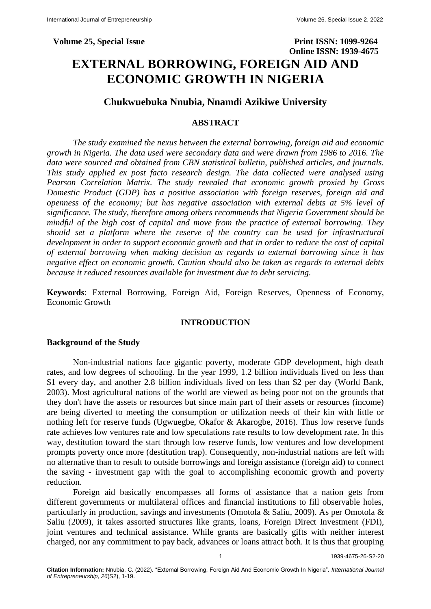# **Chukwuebuka Nnubia, Nnamdi Azikiwe University**

# **ABSTRACT**

*The study examined the nexus between the external borrowing, foreign aid and economic growth in Nigeria. The data used were secondary data and were drawn from 1986 to 2016. The data were sourced and obtained from CBN statistical bulletin, published articles, and journals. This study applied ex post facto research design. The data collected were analysed using Pearson Correlation Matrix. The study revealed that economic growth proxied by Gross Domestic Product (GDP) has a positive association with foreign reserves, foreign aid and openness of the economy; but has negative association with external debts at 5% level of significance. The study, therefore among others recommends that Nigeria Government should be mindful of the high cost of capital and move from the practice of external borrowing. They should set a platform where the reserve of the country can be used for infrastructural development in order to support economic growth and that in order to reduce the cost of capital of external borrowing when making decision as regards to external borrowing since it has negative effect on economic growth. Caution should also be taken as regards to external debts because it reduced resources available for investment due to debt servicing.*

**Keywords**: External Borrowing, Foreign Aid, Foreign Reserves, Openness of Economy, Economic Growth

# **INTRODUCTION**

# **Background of the Study**

Non-industrial nations face gigantic poverty, moderate GDP development, high death rates, and low degrees of schooling. In the year 1999, 1.2 billion individuals lived on less than \$1 every day, and another 2.8 billion individuals lived on less than \$2 per day (World Bank, 2003). Most agricultural nations of the world are viewed as being poor not on the grounds that they don't have the assets or resources but since main part of their assets or resources (income) are being diverted to meeting the consumption or utilization needs of their kin with little or nothing left for reserve funds (Ugwuegbe, Okafor & Akarogbe, 2016). Thus low reserve funds rate achieves low ventures rate and low speculations rate results to low development rate. In this way, destitution toward the start through low reserve funds, low ventures and low development prompts poverty once more (destitution trap). Consequently, non-industrial nations are left with no alternative than to result to outside borrowings and foreign assistance (foreign aid) to connect the saving - investment gap with the goal to accomplishing economic growth and poverty reduction.

Foreign aid basically encompasses all forms of assistance that a nation gets from different governments or multilateral offices and financial institutions to fill observable holes, particularly in production, savings and investments (Omotola & Saliu, 2009). As per Omotola & Saliu (2009), it takes assorted structures like grants, loans, Foreign Direct Investment (FDI), joint ventures and technical assistance. While grants are basically gifts with neither interest charged, nor any commitment to pay back, advances or loans attract both. It is thus that grouping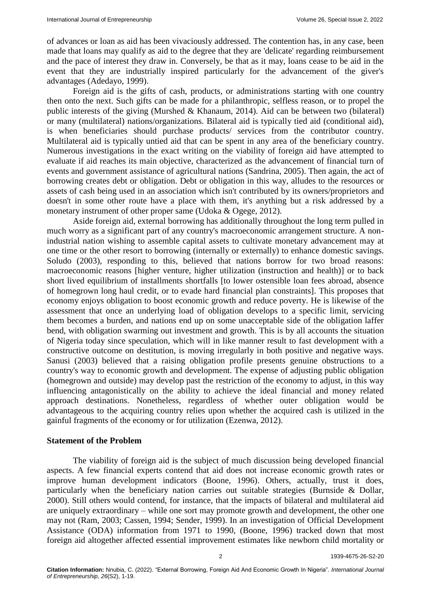of advances or loan as aid has been vivaciously addressed. The contention has, in any case, been made that loans may qualify as aid to the degree that they are 'delicate' regarding reimbursement and the pace of interest they draw in. Conversely, be that as it may, loans cease to be aid in the event that they are industrially inspired particularly for the advancement of the giver's advantages (Adedayo, 1999).

Foreign aid is the gifts of cash, products, or administrations starting with one country then onto the next. Such gifts can be made for a philanthropic, selfless reason, or to propel the public interests of the giving (Murshed & Khanaum, 2014). Aid can be between two (bilateral) or many (multilateral) nations/organizations. Bilateral aid is typically tied aid (conditional aid), is when beneficiaries should purchase products/ services from the contributor country. Multilateral aid is typically untied aid that can be spent in any area of the beneficiary country. Numerous investigations in the exact writing on the viability of foreign aid have attempted to evaluate if aid reaches its main objective, characterized as the advancement of financial turn of events and government assistance of agricultural nations (Sandrina, 2005). Then again, the act of borrowing creates debt or obligation. Debt or obligation in this way, alludes to the resources or assets of cash being used in an association which isn't contributed by its owners/proprietors and doesn't in some other route have a place with them, it's anything but a risk addressed by a monetary instrument of other proper same (Udoka & Ogege, 2012).

Aside foreign aid, external borrowing has additionally throughout the long term pulled in much worry as a significant part of any country's macroeconomic arrangement structure. A nonindustrial nation wishing to assemble capital assets to cultivate monetary advancement may at one time or the other resort to borrowing (internally or externally) to enhance domestic savings. Soludo (2003), responding to this, believed that nations borrow for two broad reasons: macroeconomic reasons [higher venture, higher utilization (instruction and health)] or to back short lived equilibrium of installments shortfalls [to lower ostensible loan fees abroad, absence of homegrown long haul credit, or to evade hard financial plan constraints]. This proposes that economy enjoys obligation to boost economic growth and reduce poverty. He is likewise of the assessment that once an underlying load of obligation develops to a specific limit, servicing them becomes a burden, and nations end up on some unacceptable side of the obligation laffer bend, with obligation swarming out investment and growth. This is by all accounts the situation of Nigeria today since speculation, which will in like manner result to fast development with a constructive outcome on destitution, is moving irregularly in both positive and negative ways. Sanusi (2003) believed that a raising obligation profile presents genuine obstructions to a country's way to economic growth and development. The expense of adjusting public obligation (homegrown and outside) may develop past the restriction of the economy to adjust, in this way influencing antagonistically on the ability to achieve the ideal financial and money related approach destinations. Nonetheless, regardless of whether outer obligation would be advantageous to the acquiring country relies upon whether the acquired cash is utilized in the gainful fragments of the economy or for utilization (Ezenwa, 2012).

#### **Statement of the Problem**

The viability of foreign aid is the subject of much discussion being developed financial aspects. A few financial experts contend that aid does not increase economic growth rates or improve human development indicators (Boone, 1996). Others, actually, trust it does, particularly when the beneficiary nation carries out suitable strategies (Burnside & Dollar, 2000). Still others would contend, for instance, that the impacts of bilateral and multilateral aid are uniquely extraordinary – while one sort may promote growth and development, the other one may not (Ram, 2003; Cassen, 1994; Sender, 1999). In an investigation of Official Development Assistance (ODA) information from 1971 to 1990, (Boone, 1996) tracked down that most foreign aid altogether affected essential improvement estimates like newborn child mortality or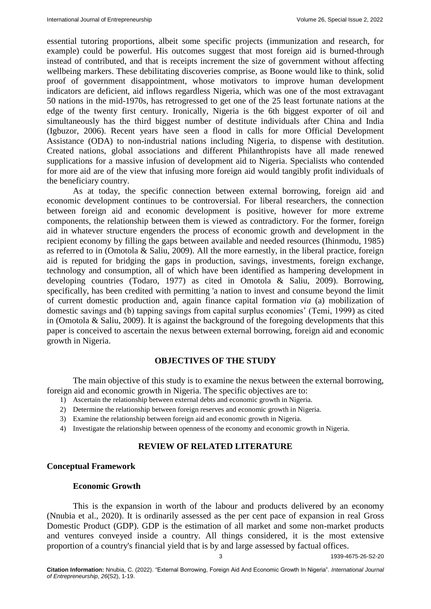essential tutoring proportions, albeit some specific projects (immunization and research, for example) could be powerful. His outcomes suggest that most foreign aid is burned-through instead of contributed, and that is receipts increment the size of government without affecting wellbeing markers. These debilitating discoveries comprise, as Boone would like to think, solid proof of government disappointment, whose motivators to improve human development indicators are deficient, aid inflows regardless Nigeria, which was one of the most extravagant 50 nations in the mid-1970s, has retrogressed to get one of the 25 least fortunate nations at the edge of the twenty first century. Ironically, Nigeria is the 6th biggest exporter of oil and simultaneously has the third biggest number of destitute individuals after China and India (Igbuzor, 2006). Recent years have seen a flood in calls for more Official Development Assistance (ODA) to non-industrial nations including Nigeria, to dispense with destitution. Created nations, global associations and different Philanthropists have all made renewed supplications for a massive infusion of development aid to Nigeria. Specialists who contended for more aid are of the view that infusing more foreign aid would tangibly profit individuals of the beneficiary country.

As at today, the specific connection between external borrowing, foreign aid and economic development continues to be controversial. For liberal researchers, the connection between foreign aid and economic development is positive, however for more extreme components, the relationship between them is viewed as contradictory. For the former, foreign aid in whatever structure engenders the process of economic growth and development in the recipient economy by filling the gaps between available and needed resources (Ihinmodu, 1985) as referred to in (Omotola & Saliu, 2009). All the more earnestly, in the liberal practice, foreign aid is reputed for bridging the gaps in production, savings, investments, foreign exchange, technology and consumption, all of which have been identified as hampering development in developing countries (Todaro, 1977) as cited in Omotola & Saliu, 2009). Borrowing, specifically, has been credited with permitting 'a nation to invest and consume beyond the limit of current domestic production and, again finance capital formation *via* (a) mobilization of domestic savings and (b) tapping savings from capital surplus economies' (Temi, 1999) as cited in (Omotola & Saliu, 2009). It is against the background of the foregoing developments that this paper is conceived to ascertain the nexus between external borrowing, foreign aid and economic growth in Nigeria.

# **OBJECTIVES OF THE STUDY**

The main objective of this study is to examine the nexus between the external borrowing, foreign aid and economic growth in Nigeria. The specific objectives are to:

- 1) Ascertain the relationship between external debts and economic growth in Nigeria.
- 2) Determine the relationship between foreign reserves and economic growth in Nigeria.
- 3) Examine the relationship between foreign aid and economic growth in Nigeria.
- 4) Investigate the relationship between openness of the economy and economic growth in Nigeria.

# **REVIEW OF RELATED LITERATURE**

# **Conceptual Framework**

## **Economic Growth**

This is the expansion in worth of the labour and products delivered by an economy (Nnubia et al., 2020). It is ordinarily assessed as the per cent pace of expansion in real Gross Domestic Product (GDP). GDP is the estimation of all market and some non-market products and ventures conveyed inside a country. All things considered, it is the most extensive proportion of a country's financial yield that is by and large assessed by factual offices.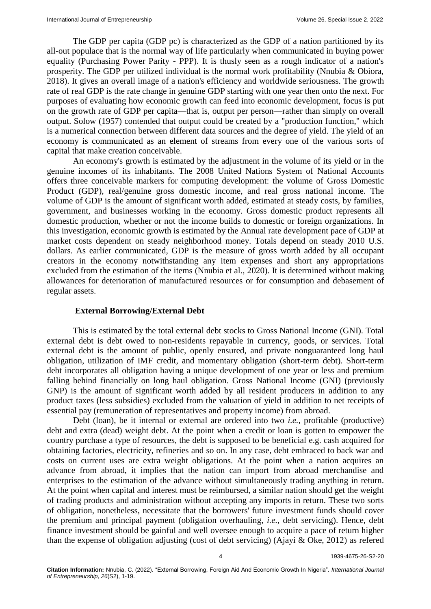The GDP per capita (GDP pc) is characterized as the GDP of a nation partitioned by its all-out populace that is the normal way of life particularly when communicated in buying power equality (Purchasing Power Parity - PPP). It is thusly seen as a rough indicator of a nation's prosperity. The GDP per utilized individual is the normal work profitability (Nnubia & Obiora, 2018). It gives an overall image of a nation's efficiency and worldwide seriousness. The growth rate of real GDP is the rate change in genuine GDP starting with one year then onto the next. For purposes of evaluating how economic growth can feed into economic development, focus is put on the growth rate of GDP per capita—that is, output per person—rather than simply on overall output. Solow (1957) contended that output could be created by a "production function," which is a numerical connection between different data sources and the degree of yield. The yield of an economy is communicated as an element of streams from every one of the various sorts of capital that make creation conceivable.

An economy's growth is estimated by the adjustment in the volume of its yield or in the genuine incomes of its inhabitants. The 2008 United Nations System of National Accounts offers three conceivable markers for computing development: the volume of Gross Domestic Product (GDP), real/genuine gross domestic income, and real gross national income. The volume of GDP is the amount of significant worth added, estimated at steady costs, by families, government, and businesses working in the economy. Gross domestic product represents all domestic production, whether or not the income builds to domestic or foreign organizations. In this investigation, economic growth is estimated by the Annual rate development pace of GDP at market costs dependent on steady neighborhood money. Totals depend on steady 2010 U.S. dollars. As earlier communicated, GDP is the measure of gross worth added by all occupant creators in the economy notwithstanding any item expenses and short any appropriations excluded from the estimation of the items (Nnubia et al., 2020). It is determined without making allowances for deterioration of manufactured resources or for consumption and debasement of regular assets.

### **External Borrowing/External Debt**

This is estimated by the total external debt stocks to Gross National Income (GNI). Total external debt is debt owed to non-residents repayable in currency, goods, or services. Total external debt is the amount of public, openly ensured, and private nonguaranteed long haul obligation, utilization of IMF credit, and momentary obligation (short-term debt). Short-term debt incorporates all obligation having a unique development of one year or less and premium falling behind financially on long haul obligation. Gross National Income (GNI) (previously GNP) is the amount of significant worth added by all resident producers in addition to any product taxes (less subsidies) excluded from the valuation of yield in addition to net receipts of essential pay (remuneration of representatives and property income) from abroad.

Debt (loan), be it internal or external are ordered into two *i.e.,* profitable (productive) debt and extra (dead) weight debt. At the point when a credit or loan is gotten to empower the country purchase a type of resources, the debt is supposed to be beneficial e.g. cash acquired for obtaining factories, electricity, refineries and so on. In any case, debt embraced to back war and costs on current uses are extra weight obligations. At the point when a nation acquires an advance from abroad, it implies that the nation can import from abroad merchandise and enterprises to the estimation of the advance without simultaneously trading anything in return. At the point when capital and interest must be reimbursed, a similar nation should get the weight of trading products and administration without accepting any imports in return. These two sorts of obligation, nonetheless, necessitate that the borrowers' future investment funds should cover the premium and principal payment (obligation overhauling, *i.e.,* debt servicing). Hence, debt finance investment should be gainful and well oversee enough to acquire a pace of return higher than the expense of obligation adjusting (cost of debt servicing) (Ajayi & Oke, 2012) as refered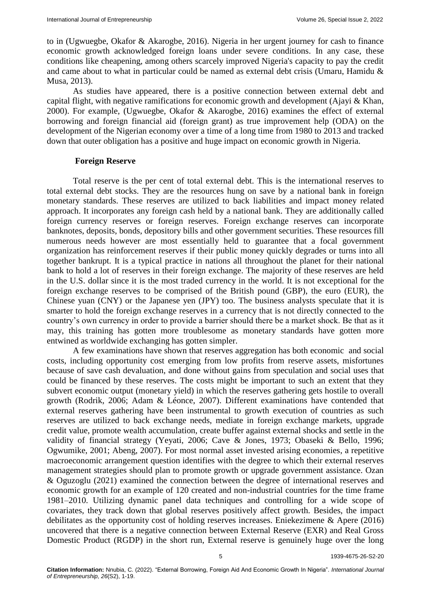to in (Ugwuegbe, Okafor & Akarogbe, 2016). Nigeria in her urgent journey for cash to finance economic growth acknowledged foreign loans under severe conditions. In any case, these conditions like cheapening, among others scarcely improved Nigeria's capacity to pay the credit and came about to what in particular could be named as external debt crisis (Umaru, Hamidu & Musa, 2013).

As studies have appeared, there is a positive connection between external debt and capital flight, with negative ramifications for economic growth and development (Ajayi & Khan, 2000). For example, (Ugwuegbe, Okafor & Akarogbe, 2016) examines the effect of external borrowing and foreign financial aid (foreign grant) as true improvement help (ODA) on the development of the Nigerian economy over a time of a long time from 1980 to 2013 and tracked down that outer obligation has a positive and huge impact on economic growth in Nigeria.

#### **Foreign Reserve**

Total reserve is the per cent of total external debt. This is the international reserves to total external debt stocks. They are the resources hung on save by a national bank in foreign monetary standards. These reserves are utilized to back liabilities and impact money related approach. It incorporates any foreign cash held by a national bank. They are additionally called foreign currency reserves or foreign reserves. Foreign exchange reserves can incorporate banknotes, deposits, bonds, depository bills and other government securities. These resources fill numerous needs however are most essentially held to guarantee that a focal government organization has reinforcement reserves if their public money quickly degrades or turns into all together bankrupt. It is a typical practice in nations all throughout the planet for their national bank to hold a lot of reserves in their foreign exchange. The majority of these reserves are held in the U.S. dollar since it is the most traded currency in the world. It is not exceptional for the foreign exchange reserves to be comprised of the British pound (GBP), the euro (EUR), the Chinese yuan (CNY) or the Japanese yen (JPY) too. The business analysts speculate that it is smarter to hold the foreign exchange reserves in a currency that is not directly connected to the country's own currency in order to provide a barrier should there be a market shock. Be that as it may, this training has gotten more troublesome as monetary standards have gotten more entwined as worldwide exchanging has gotten simpler.

A few examinations have shown that reserves aggregation has both economic and social costs, including opportunity cost emerging from low profits from reserve assets, misfortunes because of save cash devaluation, and done without gains from speculation and social uses that could be financed by these reserves. The costs might be important to such an extent that they subvert economic output (monetary yield) in which the reserves gathering gets hostile to overall growth (Rodrik, 2006; Adam & Léonce, 2007). Different examinations have contended that external reserves gathering have been instrumental to growth execution of countries as such reserves are utilized to back exchange needs, mediate in foreign exchange markets, upgrade credit value, promote wealth accumulation, create buffer against external shocks and settle in the validity of financial strategy (Yeyati, 2006; Cave & Jones, 1973; Obaseki & Bello, 1996; Ogwumike, 2001; Abeng, 2007). For most normal asset invested arising economies, a repetitive macroeconomic arrangement question identifies with the degree to which their external reserves management strategies should plan to promote growth or upgrade government assistance. Ozan & Oguzoglu (2021) examined the connection between the degree of international reserves and economic growth for an example of 120 created and non-industrial countries for the time frame 1981–2010. Utilizing dynamic panel data techniques and controlling for a wide scope of covariates, they track down that global reserves positively affect growth. Besides, the impact debilitates as the opportunity cost of holding reserves increases. Eniekezimene & Apere (2016) uncovered that there is a negative connection between External Reserve (EXR) and Real Gross Domestic Product (RGDP) in the short run, External reserve is genuinely huge over the long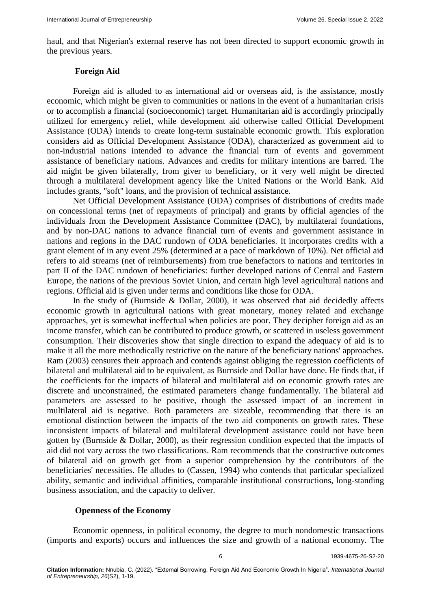haul, and that Nigerian's external reserve has not been directed to support economic growth in the previous years.

### **Foreign Aid**

Foreign aid is alluded to as international aid or overseas aid, is the assistance, mostly economic, which might be given to communities or nations in the event of a humanitarian crisis or to accomplish a financial (socioeconomic) target. Humanitarian aid is accordingly principally utilized for emergency relief, while development aid otherwise called Official Development Assistance (ODA) intends to create long-term sustainable economic growth. This exploration considers aid as Official Development Assistance (ODA), characterized as government aid to non-industrial nations intended to advance the financial turn of events and government assistance of beneficiary nations. Advances and credits for military intentions are barred. The aid might be given bilaterally, from giver to beneficiary, or it very well might be directed through a multilateral development agency like the United Nations or the World Bank. Aid includes grants, "soft" loans, and the provision of technical assistance.

Net Official Development Assistance (ODA) comprises of distributions of credits made on concessional terms (net of repayments of principal) and grants by official agencies of the individuals from the Development Assistance Committee (DAC), by multilateral foundations, and by non-DAC nations to advance financial turn of events and government assistance in nations and regions in the DAC rundown of ODA beneficiaries. It incorporates credits with a grant element of in any event 25% (determined at a pace of markdown of 10%). Net official aid refers to aid streams (net of reimbursements) from true benefactors to nations and territories in part II of the DAC rundown of beneficiaries: further developed nations of Central and Eastern Europe, the nations of the previous Soviet Union, and certain high level agricultural nations and regions. Official aid is given under terms and conditions like those for ODA.

In the study of (Burnside & Dollar, 2000), it was observed that aid decidedly affects economic growth in agricultural nations with great monetary, money related and exchange approaches, yet is somewhat ineffectual when policies are poor. They decipher foreign aid as an income transfer, which can be contributed to produce growth, or scattered in useless government consumption. Their discoveries show that single direction to expand the adequacy of aid is to make it all the more methodically restrictive on the nature of the beneficiary nations' approaches. Ram (2003) censures their approach and contends against obliging the regression coefficients of bilateral and multilateral aid to be equivalent, as Burnside and Dollar have done. He finds that, if the coefficients for the impacts of bilateral and multilateral aid on economic growth rates are discrete and unconstrained, the estimated parameters change fundamentally. The bilateral aid parameters are assessed to be positive, though the assessed impact of an increment in multilateral aid is negative. Both parameters are sizeable, recommending that there is an emotional distinction between the impacts of the two aid components on growth rates. These inconsistent impacts of bilateral and multilateral development assistance could not have been gotten by (Burnside & Dollar, 2000), as their regression condition expected that the impacts of aid did not vary across the two classifications. Ram recommends that the constructive outcomes of bilateral aid on growth get from a superior comprehension by the contributors of the beneficiaries' necessities. He alludes to (Cassen, 1994) who contends that particular specialized ability, semantic and individual affinities, comparable institutional constructions, long-standing business association, and the capacity to deliver.

## **Openness of the Economy**

Economic openness, in political economy, the degree to much nondomestic transactions (imports and exports) occurs and influences the size and growth of a national economy. The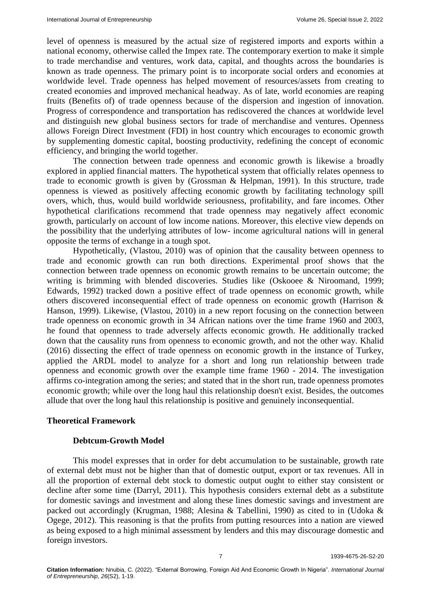level of openness is measured by the actual size of registered imports and exports within a national economy, otherwise called the Impex rate. The contemporary exertion to make it simple to trade merchandise and ventures, work data, capital, and thoughts across the boundaries is known as trade openness. The primary point is to incorporate social orders and economies at worldwide level. Trade openness has helped movement of resources/assets from creating to created economies and improved mechanical headway. As of late, world economies are reaping fruits (Benefits of) of trade openness because of the dispersion and ingestion of innovation. Progress of correspondence and transportation has rediscovered the chances at worldwide level and distinguish new global business sectors for trade of merchandise and ventures. Openness allows Foreign Direct Investment (FDI) in host country which encourages to economic growth by supplementing domestic capital, boosting productivity, redefining the concept of economic efficiency, and bringing the world together.

The connection between trade openness and economic growth is likewise a broadly explored in applied financial matters. The hypothetical system that officially relates openness to trade to economic growth is given by (Grossman & Helpman, 1991). In this structure, trade openness is viewed as positively affecting economic growth by facilitating technology spill overs, which, thus, would build worldwide seriousness, profitability, and fare incomes. Other hypothetical clarifications recommend that trade openness may negatively affect economic growth, particularly on account of low income nations. Moreover, this elective view depends on the possibility that the underlying attributes of low- income agricultural nations will in general opposite the terms of exchange in a tough spot.

Hypothetically, (Vlastou, 2010) was of opinion that the causality between openness to trade and economic growth can run both directions. Experimental proof shows that the connection between trade openness on economic growth remains to be uncertain outcome; the writing is brimming with blended discoveries. Studies like (Oskooee & Niroomand, 1999; Edwards, 1992) tracked down a positive effect of trade openness on economic growth, while others discovered inconsequential effect of trade openness on economic growth (Harrison & Hanson, 1999). Likewise, (Vlastou, 2010) in a new report focusing on the connection between trade openness on economic growth in 34 African nations over the time frame 1960 and 2003, he found that openness to trade adversely affects economic growth. He additionally tracked down that the causality runs from openness to economic growth, and not the other way. Khalid (2016) dissecting the effect of trade openness on economic growth in the instance of Turkey, applied the ARDL model to analyze for a short and long run relationship between trade openness and economic growth over the example time frame 1960 - 2014. The investigation affirms co-integration among the series; and stated that in the short run, trade openness promotes economic growth; while over the long haul this relationship doesn't exist. Besides, the outcomes allude that over the long haul this relationship is positive and genuinely inconsequential.

### **Theoretical Framework**

### **Debtcum-Growth Model**

This model expresses that in order for debt accumulation to be sustainable, growth rate of external debt must not be higher than that of domestic output, export or tax revenues. All in all the proportion of external debt stock to domestic output ought to either stay consistent or decline after some time (Darryl, 2011). This hypothesis considers external debt as a substitute for domestic savings and investment and along these lines domestic savings and investment are packed out accordingly (Krugman, 1988; Alesina & Tabellini, 1990) as cited to in (Udoka & Ogege, 2012). This reasoning is that the profits from putting resources into a nation are viewed as being exposed to a high minimal assessment by lenders and this may discourage domestic and foreign investors.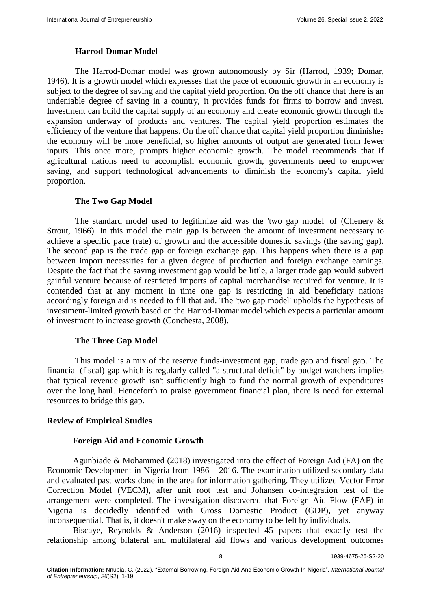## **Harrod-Domar Model**

The Harrod-Domar model was grown autonomously by Sir (Harrod, 1939; Domar, 1946). It is a growth model which expresses that the pace of economic growth in an economy is subject to the degree of saving and the capital yield proportion. On the off chance that there is an undeniable degree of saving in a country, it provides funds for firms to borrow and invest. Investment can build the capital supply of an economy and create economic growth through the expansion underway of products and ventures. The capital yield proportion estimates the efficiency of the venture that happens. On the off chance that capital yield proportion diminishes the economy will be more beneficial, so higher amounts of output are generated from fewer inputs. This once more, prompts higher economic growth. The model recommends that if agricultural nations need to accomplish economic growth, governments need to empower saving, and support technological advancements to diminish the economy's capital yield proportion.

## **The Two Gap Model**

The standard model used to legitimize aid was the 'two gap model' of (Chenery  $\&$ Strout, 1966). In this model the main gap is between the amount of investment necessary to achieve a specific pace (rate) of growth and the accessible domestic savings (the saving gap). The second gap is the trade gap or foreign exchange gap. This happens when there is a gap between import necessities for a given degree of production and foreign exchange earnings. Despite the fact that the saving investment gap would be little, a larger trade gap would subvert gainful venture because of restricted imports of capital merchandise required for venture. It is contended that at any moment in time one gap is restricting in aid beneficiary nations accordingly foreign aid is needed to fill that aid. The 'two gap model' upholds the hypothesis of investment-limited growth based on the Harrod-Domar model which expects a particular amount of investment to increase growth (Conchesta, 2008).

# **The Three Gap Model**

This model is a mix of the reserve funds-investment gap, trade gap and fiscal gap. The financial (fiscal) gap which is regularly called "a structural deficit" by budget watchers-implies that typical revenue growth isn't sufficiently high to fund the normal growth of expenditures over the long haul. Henceforth to praise government financial plan, there is need for external resources to bridge this gap.

### **Review of Empirical Studies**

### **Foreign Aid and Economic Growth**

Agunbiade & Mohammed (2018) investigated into the effect of Foreign Aid (FA) on the Economic Development in Nigeria from 1986 – 2016. The examination utilized secondary data and evaluated past works done in the area for information gathering. They utilized Vector Error Correction Model (VECM), after unit root test and Johansen co-integration test of the arrangement were completed. The investigation discovered that Foreign Aid Flow (FAF) in Nigeria is decidedly identified with Gross Domestic Product (GDP), yet anyway inconsequential. That is, it doesn't make sway on the economy to be felt by individuals.

Biscaye, Reynolds & Anderson (2016) inspected 45 papers that exactly test the relationship among bilateral and multilateral aid flows and various development outcomes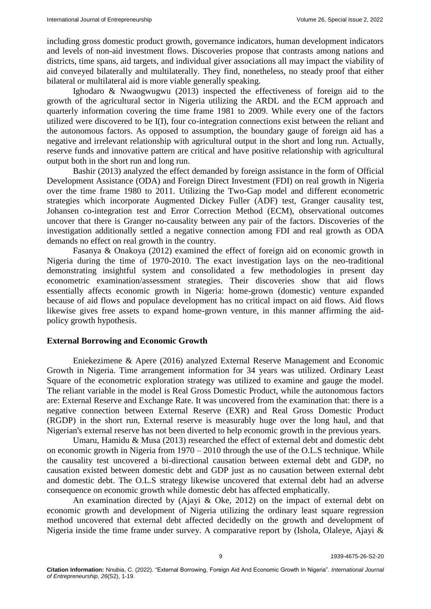including gross domestic product growth, governance indicators, human development indicators and levels of non-aid investment flows. Discoveries propose that contrasts among nations and districts, time spans, aid targets, and individual giver associations all may impact the viability of aid conveyed bilaterally and multilaterally. They find, nonetheless, no steady proof that either bilateral or multilateral aid is more viable generally speaking.

Ighodaro & Nwaogwugwu (2013) inspected the effectiveness of foreign aid to the growth of the agricultural sector in Nigeria utilizing the ARDL and the ECM approach and quarterly information covering the time frame 1981 to 2009. While every one of the factors utilized were discovered to be I(I), four co-integration connections exist between the reliant and the autonomous factors. As opposed to assumption, the boundary gauge of foreign aid has a negative and irrelevant relationship with agricultural output in the short and long run. Actually, reserve funds and innovative pattern are critical and have positive relationship with agricultural output both in the short run and long run.

Bashir (2013) analyzed the effect demanded by foreign assistance in the form of Official Development Assistance (ODA) and Foreign Direct Investment (FDI) on real growth in Nigeria over the time frame 1980 to 2011. Utilizing the Two-Gap model and different econometric strategies which incorporate Augmented Dickey Fuller (ADF) test, Granger causality test, Johansen co-integration test and Error Correction Method (ECM), observational outcomes uncover that there is Granger no-causality between any pair of the factors. Discoveries of the investigation additionally settled a negative connection among FDI and real growth as ODA demands no effect on real growth in the country.

Fasanya & Onakoya (2012) examined the effect of foreign aid on economic growth in Nigeria during the time of 1970-2010. The exact investigation lays on the neo-traditional demonstrating insightful system and consolidated a few methodologies in present day econometric examination/assessment strategies. Their discoveries show that aid flows essentially affects economic growth in Nigeria: home-grown (domestic) venture expanded because of aid flows and populace development has no critical impact on aid flows. Aid flows likewise gives free assets to expand home-grown venture, in this manner affirming the aidpolicy growth hypothesis.

## **External Borrowing and Economic Growth**

Eniekezimene & Apere (2016) analyzed External Reserve Management and Economic Growth in Nigeria. Time arrangement information for 34 years was utilized. Ordinary Least Square of the econometric exploration strategy was utilized to examine and gauge the model. The reliant variable in the model is Real Gross Domestic Product, while the autonomous factors are: External Reserve and Exchange Rate. It was uncovered from the examination that: there is a negative connection between External Reserve (EXR) and Real Gross Domestic Product (RGDP) in the short run, External reserve is measurably huge over the long haul, and that Nigerian's external reserve has not been diverted to help economic growth in the previous years.

Umaru, Hamidu & Musa (2013) researched the effect of external debt and domestic debt on economic growth in Nigeria from 1970 – 2010 through the use of the O.L.S technique. While the causality test uncovered a bi-directional causation between external debt and GDP, no causation existed between domestic debt and GDP just as no causation between external debt and domestic debt. The O.L.S strategy likewise uncovered that external debt had an adverse consequence on economic growth while domestic debt has affected emphatically.

An examination directed by (Ajayi & Oke, 2012) on the impact of external debt on economic growth and development of Nigeria utilizing the ordinary least square regression method uncovered that external debt affected decidedly on the growth and development of Nigeria inside the time frame under survey. A comparative report by (Ishola, Olaleye, Ajayi &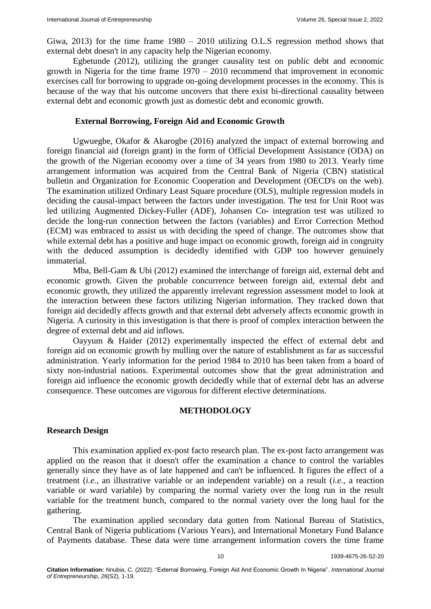Giwa, 2013) for the time frame 1980 – 2010 utilizing O.L.S regression method shows that external debt doesn't in any capacity help the Nigerian economy.

Egbetunde (2012), utilizing the granger causality test on public debt and economic growth in Nigeria for the time frame 1970 – 2010 recommend that improvement in economic exercises call for borrowing to upgrade on-going development processes in the economy. This is because of the way that his outcome uncovers that there exist bi-directional causality between external debt and economic growth just as domestic debt and economic growth.

#### **External Borrowing, Foreign Aid and Economic Growth**

Ugwuegbe, Okafor & Akarogbe (2016) analyzed the impact of external borrowing and foreign financial aid (foreign grant) in the form of Official Development Assistance (ODA) on the growth of the Nigerian economy over a time of 34 years from 1980 to 2013. Yearly time arrangement information was acquired from the Central Bank of Nigeria (CBN) statistical bulletin and Organization for Economic Cooperation and Development (OECD's on the web). The examination utilized Ordinary Least Square procedure (OLS), multiple regression models in deciding the causal-impact between the factors under investigation. The test for Unit Root was led utilizing Augmented Dickey-Fuller (ADF), Johansen Co- integration test was utilized to decide the long-run connection between the factors (variables) and Error Correction Method (ECM) was embraced to assist us with deciding the speed of change. The outcomes show that while external debt has a positive and huge impact on economic growth, foreign aid in congruity with the deduced assumption is decidedly identified with GDP too however genuinely immaterial.

Mba, Bell-Gam & Ubi (2012) examined the interchange of foreign aid, external debt and economic growth. Given the probable concurrence between foreign aid, external debt and economic growth, they utilized the apparently irrelevant regression assessment model to look at the interaction between these factors utilizing Nigerian information. They tracked down that foreign aid decidedly affects growth and that external debt adversely affects economic growth in Nigeria. A curiosity in this investigation is that there is proof of complex interaction between the degree of external debt and aid inflows.

Oayyum & Haider (2012) experimentally inspected the effect of external debt and foreign aid on economic growth by mulling over the nature of establishment as far as successful administration. Yearly information for the period 1984 to 2010 has been taken from a board of sixty non-industrial nations. Experimental outcomes show that the great administration and foreign aid influence the economic growth decidedly while that of external debt has an adverse consequence. These outcomes are vigorous for different elective determinations.

### **METHODOLOGY**

## **Research Design**

This examination applied ex-post facto research plan. The ex-post facto arrangement was applied on the reason that it doesn't offer the examination a chance to control the variables generally since they have as of late happened and can't be influenced. It figures the effect of a treatment (*i.e.,* an illustrative variable or an independent variable) on a result (*i.e.,* a reaction variable or ward variable) by comparing the normal variety over the long run in the result variable for the treatment bunch, compared to the normal variety over the long haul for the gathering.

The examination applied secondary data gotten from National Bureau of Statistics, Central Bank of Nigeria publications (Various Years), and International Monetary Fund Balance of Payments database. These data were time arrangement information covers the time frame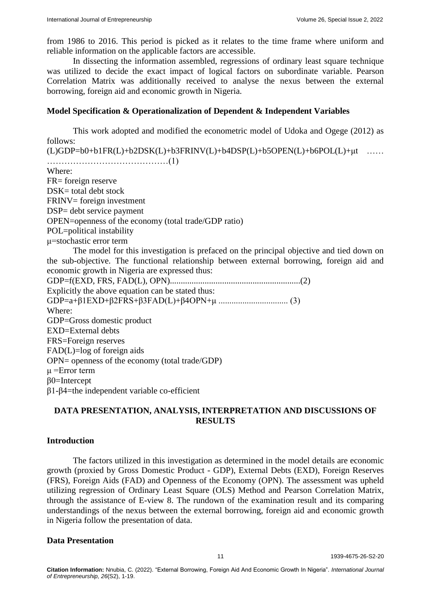from 1986 to 2016. This period is picked as it relates to the time frame where uniform and reliable information on the applicable factors are accessible.

In dissecting the information assembled, regressions of ordinary least square technique was utilized to decide the exact impact of logical factors on subordinate variable. Pearson Correlation Matrix was additionally received to analyse the nexus between the external borrowing, foreign aid and economic growth in Nigeria.

## **Model Specification & Operationalization of Dependent & Independent Variables**

This work adopted and modified the econometric model of Udoka and Ogege (2012) as follows:  $(L)GDP=b0+b1FR(L)+b2DSK(L)+b3FRINV(L)+b4DSP(L)+b5OPEN(L)+b6POL(L)+µt$  ……

……………………………………(1) Where: FR= foreign reserve DSK= total debt stock FRINV= foreign investment DSP= debt service payment OPEN=openness of the economy (total trade/GDP ratio) POL=political instability μ=stochastic error term The model for this investigation is prefaced on the principal objective and tied down on the sub-objective. The functional relationship between external borrowing, foreign aid and economic growth in Nigeria are expressed thus: GDP=f(EXD, FRS, FAD(L), OPN)............................................................(2) Explicitly the above equation can be stated thus: GDP=a+β1EXD+β2FRS+β3FAD(L)+β4OPN+μ ................................ (3) Where: GDP=Gross domestic product EXD=External debts FRS=Foreign reserves FAD(L)=log of foreign aids OPN= openness of the economy (total trade/GDP)  $\mu$  =Error term β0=Intercept β1-β4=the independent variable co-efficient

# **DATA PRESENTATION, ANALYSIS, INTERPRETATION AND DISCUSSIONS OF RESULTS**

# **Introduction**

The factors utilized in this investigation as determined in the model details are economic growth (proxied by Gross Domestic Product - GDP), External Debts (EXD), Foreign Reserves (FRS), Foreign Aids (FAD) and Openness of the Economy (OPN). The assessment was upheld utilizing regression of Ordinary Least Square (OLS) Method and Pearson Correlation Matrix, through the assistance of E-view 8. The rundown of the examination result and its comparing understandings of the nexus between the external borrowing, foreign aid and economic growth in Nigeria follow the presentation of data.

#### **Data Presentation**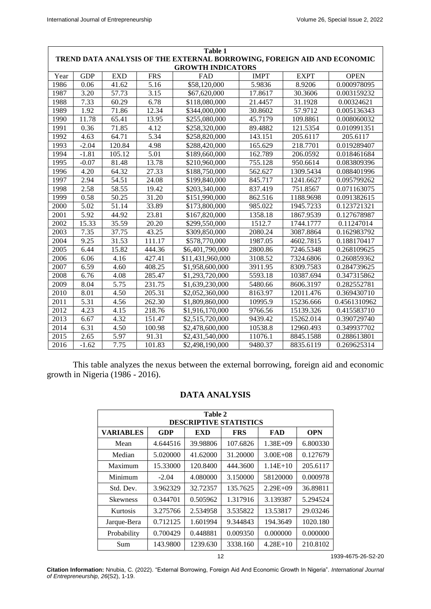|                                                                         | <b>Table 1</b> |            |            |                  |             |             |              |  |
|-------------------------------------------------------------------------|----------------|------------|------------|------------------|-------------|-------------|--------------|--|
| TREND DATA ANALYSIS OF THE EXTERNAL BORROWING, FOREIGN AID AND ECONOMIC |                |            |            |                  |             |             |              |  |
| <b>GROWTH INDICATORS</b>                                                |                |            |            |                  |             |             |              |  |
| Year                                                                    | <b>GDP</b>     | <b>EXD</b> | <b>FRS</b> | FAD              | <b>IMPT</b> | <b>EXPT</b> | <b>OPEN</b>  |  |
| 1986                                                                    | 0.06           | 41.62      | 5.16       | \$58,120,000     | 5.9836      | 8.9206      | 0.000978095  |  |
| 1987                                                                    | 3.20           | 57.73      | 3.15       | \$67,620,000     | 17.8617     | 30.3606     | 0.003159232  |  |
| 1988                                                                    | 7.33           | 60.29      | 6.78       | \$118,080,000    | 21.4457     | 31.1928     | 0.00324621   |  |
| 1989                                                                    | 1.92           | 71.86      | 12.34      | \$344,000,000    | 30.8602     | 57.9712     | 0.005136343  |  |
| 1990                                                                    | 11.78          | 65.41      | 13.95      | \$255,080,000    | 45.7179     | 109.8861    | 0.008060032  |  |
| 1991                                                                    | 0.36           | 71.85      | 4.12       | \$258,320,000    | 89.4882     | 121.5354    | 0.010991351  |  |
| 1992                                                                    | 4.63           | 64.71      | 5.34       | \$258,820,000    | 143.151     | 205.6117    | 205.6117     |  |
| 1993                                                                    | $-2.04$        | 120.84     | 4.98       | \$288,420,000    | 165.629     | 218.7701    | 0.019289407  |  |
| 1994                                                                    | $-1.81$        | 105.12     | 5.01       | \$189,660,000    | 162.789     | 206.0592    | 0.018461684  |  |
| 1995                                                                    | $-0.07$        | 81.48      | 13.78      | \$210,960,000    | 755.128     | 950.6614    | 0.083809396  |  |
| 1996                                                                    | 4.20           | 64.32      | 27.33      | \$188,750,000    | 562.627     | 1309.5434   | 0.088401996  |  |
| 1997                                                                    | 2.94           | 54.51      | 24.08      | \$199,840,000    | 845.717     | 1241.6627   | 0.095799262  |  |
| 1998                                                                    | 2.58           | 58.55      | 19.42      | \$203,340,000    | 837.419     | 751.8567    | 0.071163075  |  |
| 1999                                                                    | 0.58           | 50.25      | 31.20      | \$151,990,000    | 862.516     | 1188.9698   | 0.091382615  |  |
| 2000                                                                    | 5.02           | 51.14      | 33.89      | \$173,800,000    | 985.022     | 1945.7233   | 0.123721321  |  |
| 2001                                                                    | 5.92           | 44.92      | 23.81      | \$167,820,000    | 1358.18     | 1867.9539   | 0.127678987  |  |
| 2002                                                                    | 15.33          | 35.59      | 20.20      | \$299,550,000    | 1512.7      | 1744.1777   | 0.11247014   |  |
| 2003                                                                    | 7.35           | 37.75      | 43.25      | \$309,850,000    | 2080.24     | 3087.8864   | 0.162983792  |  |
| 2004                                                                    | 9.25           | 31.53      | 111.17     | \$578,770,000    | 1987.05     | 4602.7815   | 0.188170417  |  |
| $\frac{1}{2005}$                                                        | 6.44           | 15.82      | 444.36     | \$6,401,790,000  | 2800.86     | 7246.5348   | 0.268109625  |  |
| 2006                                                                    | 6.06           | 4.16       | 427.41     | \$11,431,960,000 | 3108.52     | 7324.6806   | 0.260859362  |  |
| 2007                                                                    | 6.59           | 4.60       | 408.25     | \$1,958,600,000  | 3911.95     | 8309.7583   | 0.284739625  |  |
| 2008                                                                    | 6.76           | 4.08       | 285.47     | \$1,293,720,000  | 5593.18     | 10387.694   | 0.347315862  |  |
| 2009                                                                    | 8.04           | 5.75       | 231.75     | \$1,639,230,000  | 5480.66     | 8606.3197   | 0.282552781  |  |
| 2010                                                                    | 8.01           | 4.50       | 205.31     | \$2,052,360,000  | 8163.97     | 12011.476   | 0.369430710  |  |
| 2011                                                                    | 5.31           | 4.56       | 262.30     | \$1,809,860,000  | 10995.9     | 15236.666   | 0.4561310962 |  |
| 2012                                                                    | 4.23           | 4.15       | 218.76     | \$1,916,170,000  | 9766.56     | 15139.326   | 0.415583710  |  |
| 2013                                                                    | 6.67           | 4.32       | 151.47     | \$2,515,720,000  | 9439.42     | 15262.014   | 0.390729740  |  |
| 2014                                                                    | 6.31           | 4.50       | 100.98     | \$2,478,600,000  | 10538.8     | 12960.493   | 0.349937702  |  |
| 2015                                                                    | 2.65           | 5.97       | 91.31      | \$2,431,540,000  | 11076.1     | 8845.1588   | 0.288613801  |  |
| 2016                                                                    | $-1.62$        | 7.75       | 101.83     | \$2,498,190,000  | 9480.37     | 8835.6119   | 0.269625314  |  |

This table analyzes the nexus between the external borrowing, foreign aid and economic growth in Nigeria (1986 - 2016).

# **DATA ANALYSIS**

| Table 2<br><b>DESCRIPTIVE STATISTICS</b> |            |          |            |              |            |  |  |
|------------------------------------------|------------|----------|------------|--------------|------------|--|--|
| <b>VARIABLES</b>                         | <b>GDP</b> | EXD      | <b>FRS</b> | FAD          | <b>OPN</b> |  |  |
| Mean                                     | 4.644516   | 39.98806 | 107.6826   | $1.38E + 09$ | 6.800330   |  |  |
| Median                                   | 5.020000   | 41.62000 | 31.20000   | $3.00E + 08$ | 0.127679   |  |  |
| Maximum                                  | 15.33000   | 120.8400 | 444.3600   | $1.14E+10$   | 205.6117   |  |  |
| Minimum                                  | $-2.04$    | 4.080000 | 3.150000   | 58120000     | 0.000978   |  |  |
| Std. Dev.                                | 3.962329   | 32.72357 | 135.7625   | $2.29E + 09$ | 36.89811   |  |  |
| <b>Skewness</b>                          | 0.344701   | 0.505962 | 1.317916   | 3.139387     | 5.294524   |  |  |
| Kurtosis                                 | 3.275766   | 2.534958 | 3.535822   | 13.53817     | 29.03246   |  |  |
| Jarque-Bera                              | 0.712125   | 1.601994 | 9.344843   | 194.3649     | 1020.180   |  |  |
| Probability                              | 0.700429   | 0.448881 | 0.009350   | 0.000000     | 0.000000   |  |  |
| Sum                                      | 143.9800   | 1239.630 | 3338.160   | $4.28E+10$   | 210.8102   |  |  |

12 1939-4675-26-S2-20

**Citation Information:** Nnubia, C. (2022). "External Borrowing, Foreign Aid And Economic Growth In Nigeria". *International Journal of Entrepreneurship, 26*(S2), 1-19.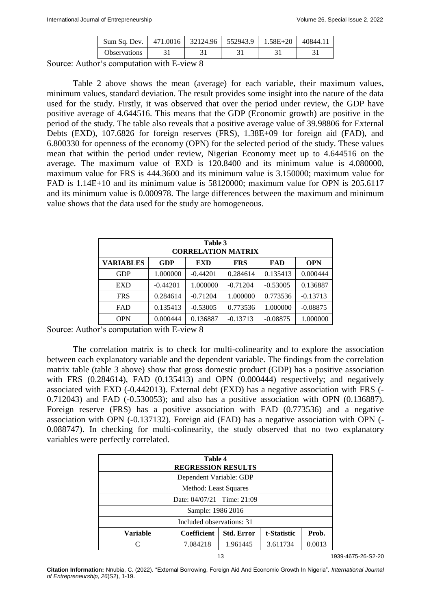| Sum Sq. Dev.   471.0016   32124.96   552943.9   1.58E+20   40844.11 |  |  |  |
|---------------------------------------------------------------------|--|--|--|
| <b>Observations</b>                                                 |  |  |  |

Source: Author's computation with E-view 8

Table 2 above shows the mean (average) for each variable, their maximum values, minimum values, standard deviation. The result provides some insight into the nature of the data used for the study. Firstly, it was observed that over the period under review, the GDP have positive average of 4.644516. This means that the GDP (Economic growth) are positive in the period of the study. The table also reveals that a positive average value of 39.98806 for External Debts (EXD), 107.6826 for foreign reserves (FRS), 1.38E+09 for foreign aid (FAD), and 6.800330 for openness of the economy (OPN) for the selected period of the study. These values mean that within the period under review, Nigerian Economy meet up to 4.644516 on the average. The maximum value of EXD is 120.8400 and its minimum value is 4.080000, maximum value for FRS is 444.3600 and its minimum value is 3.150000; maximum value for FAD is 1.14E+10 and its minimum value is 58120000; maximum value for OPN is 205.6117 and its minimum value is 0.000978. The large differences between the maximum and minimum value shows that the data used for the study are homogeneous.

| Table 3<br><b>CORRELATION MATRIX</b> |            |            |            |            |            |  |  |
|--------------------------------------|------------|------------|------------|------------|------------|--|--|
| <b>VARIABLES</b>                     | <b>GDP</b> | <b>EXD</b> | <b>FRS</b> | FAD        | <b>OPN</b> |  |  |
| <b>GDP</b>                           | 1.000000   | $-0.44201$ | 0.284614   | 0.135413   | 0.000444   |  |  |
| <b>EXD</b>                           | $-0.44201$ | 1.000000   | $-0.71204$ | $-0.53005$ | 0.136887   |  |  |
| <b>FRS</b>                           | 0.284614   | $-0.71204$ | 1.000000   | 0.773536   | $-0.13713$ |  |  |
| <b>FAD</b>                           | 0.135413   | $-0.53005$ | 0.773536   | 1.000000   | $-0.08875$ |  |  |
| <b>OPN</b>                           | 0.000444   | 0.136887   | $-0.13713$ | $-0.08875$ | 1.000000   |  |  |

Source: Author's computation with E-view 8

The correlation matrix is to check for multi-colinearity and to explore the association between each explanatory variable and the dependent variable. The findings from the correlation matrix table (table 3 above) show that gross domestic product (GDP) has a positive association with FRS (0.284614), FAD (0.135413) and OPN (0.000444) respectively; and negatively associated with EXD (-0.442013). External debt (EXD) has a negative association with FRS (- 0.712043) and FAD (-0.530053); and also has a positive association with OPN (0.136887). Foreign reserve (FRS) has a positive association with FAD (0.773536) and a negative association with OPN (-0.137132). Foreign aid (FAD) has a negative association with OPN (- 0.088747). In checking for multi-colinearity, the study observed that no two explanatory variables were perfectly correlated.

| Table 4<br><b>REGRESSION RESULTS</b>                                        |          |          |          |        |  |  |  |
|-----------------------------------------------------------------------------|----------|----------|----------|--------|--|--|--|
| Dependent Variable: GDP                                                     |          |          |          |        |  |  |  |
| Method: Least Squares                                                       |          |          |          |        |  |  |  |
| Date: $04/07/21$ Time: 21:09                                                |          |          |          |        |  |  |  |
| Sample: 1986 2016                                                           |          |          |          |        |  |  |  |
| Included observations: 31                                                   |          |          |          |        |  |  |  |
| <b>Coefficient</b><br>Prob.<br><b>Std. Error</b><br>t-Statistic<br>Variable |          |          |          |        |  |  |  |
|                                                                             | 7.084218 | 1.961445 | 3.611734 | 0.0013 |  |  |  |

13 1939-4675-26-S2-20

**Citation Information:** Nnubia, C. (2022). "External Borrowing, Foreign Aid And Economic Growth In Nigeria". *International Journal of Entrepreneurship, 26*(S2), 1-19.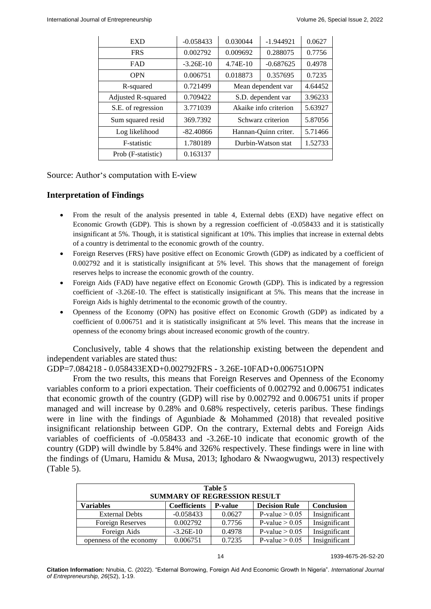| <b>EXD</b>         | $-0.058433$ | 0.030044              | $-1.944921$ | 0.0627  |
|--------------------|-------------|-----------------------|-------------|---------|
| <b>FRS</b>         | 0.002792    | 0.009692              | 0.288075    | 0.7756  |
| <b>FAD</b>         | $-3.26E-10$ | 4.74E-10              | $-0.687625$ | 0.4978  |
| <b>OPN</b>         | 0.006751    | 0.018873              | 0.357695    | 0.7235  |
| R-squared          | 0.721499    | Mean dependent var    |             | 4.64452 |
| Adjusted R-squared | 0.709422    | S.D. dependent var    |             | 3.96233 |
| S.E. of regression | 3.771039    | Akaike info criterion |             | 5.63927 |
| Sum squared resid  | 369.7392    | Schwarz criterion     |             | 5.87056 |
| Log likelihood     | $-82.40866$ | Hannan-Quinn criter.  |             | 5.71466 |
| F-statistic        | 1.780189    | Durbin-Watson stat    |             | 1.52733 |
| Prob (F-statistic) | 0.163137    |                       |             |         |

Source: Author's computation with E-view

## **Interpretation of Findings**

- From the result of the analysis presented in table 4, External debts (EXD) have negative effect on Economic Growth (GDP). This is shown by a regression coefficient of -0.058433 and it is statistically insignificant at 5%. Though, it is statistical significant at 10%. This implies that increase in external debts of a country is detrimental to the economic growth of the country.
- Foreign Reserves (FRS) have positive effect on Economic Growth (GDP) as indicated by a coefficient of 0.002792 and it is statistically insignificant at 5% level. This shows that the management of foreign reserves helps to increase the economic growth of the country.
- Foreign Aids (FAD) have negative effect on Economic Growth (GDP). This is indicated by a regression coefficient of -3.26E-10. The effect is statistically insignificant at 5%. This means that the increase in Foreign Aids is highly detrimental to the economic growth of the country.
- Openness of the Economy (OPN) has positive effect on Economic Growth (GDP) as indicated by a coefficient of 0.006751 and it is statistically insignificant at 5% level. This means that the increase in openness of the economy brings about increased economic growth of the country.

Conclusively, table 4 shows that the relationship existing between the dependent and independent variables are stated thus:

GDP=7.084218 - 0.058433EXD+0.002792FRS - 3.26E-10FAD+0.006751OPN

From the two results, this means that Foreign Reserves and Openness of the Economy variables conform to a priori expectation. Their coefficients of 0.002792 and 0.006751 indicates that economic growth of the country (GDP) will rise by 0.002792 and 0.006751 units if proper managed and will increase by 0.28% and 0.68% respectively, ceteris paribus. These findings were in line with the findings of Agunbiade & Mohammed (2018) that revealed positive insignificant relationship between GDP. On the contrary, External debts and Foreign Aids variables of coefficients of -0.058433 and -3.26E-10 indicate that economic growth of the country (GDP) will dwindle by 5.84% and 326% respectively. These findings were in line with the findings of (Umaru, Hamidu & Musa, 2013; Ighodaro & Nwaogwugwu, 2013) respectively (Table 5).

| Table 5<br><b>SUMMARY OF REGRESSION RESULT</b>                                                         |             |        |                  |               |  |  |  |
|--------------------------------------------------------------------------------------------------------|-------------|--------|------------------|---------------|--|--|--|
| <b>Variables</b><br><b>Decision Rule</b><br><b>Coefficients</b><br><b>Conclusion</b><br><b>P-value</b> |             |        |                  |               |  |  |  |
| <b>External Debts</b>                                                                                  | $-0.058433$ | 0.0627 | P-value $> 0.05$ | Insignificant |  |  |  |
| Foreign Reserves                                                                                       | 0.002792    | 0.7756 | P-value $> 0.05$ | Insignificant |  |  |  |
| Foreign Aids                                                                                           | $-3.26E-10$ | 0.4978 | P-value $> 0.05$ | Insignificant |  |  |  |
| openness of the economy                                                                                | 0.006751    | 0.7235 | P-value $> 0.05$ | Insignificant |  |  |  |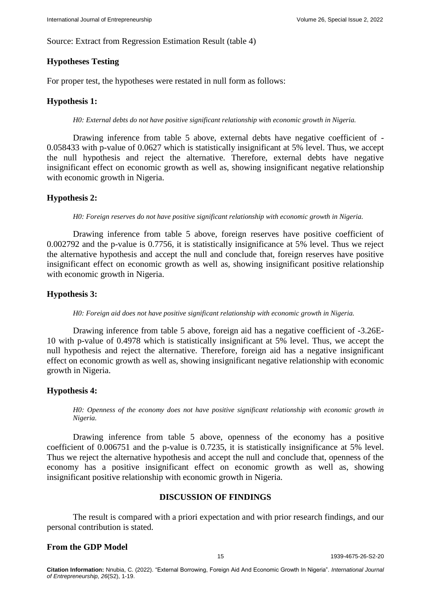Source: Extract from Regression Estimation Result (table 4)

# **Hypotheses Testing**

For proper test, the hypotheses were restated in null form as follows:

# **Hypothesis 1:**

*H0: External debts do not have positive significant relationship with economic growth in Nigeria.*

Drawing inference from table 5 above, external debts have negative coefficient of - 0.058433 with p-value of 0.0627 which is statistically insignificant at 5% level. Thus, we accept the null hypothesis and reject the alternative. Therefore, external debts have negative insignificant effect on economic growth as well as, showing insignificant negative relationship with economic growth in Nigeria.

# **Hypothesis 2:**

*H0: Foreign reserves do not have positive significant relationship with economic growth in Nigeria.*

Drawing inference from table 5 above, foreign reserves have positive coefficient of 0.002792 and the p-value is 0.7756, it is statistically insignificance at 5% level. Thus we reject the alternative hypothesis and accept the null and conclude that, foreign reserves have positive insignificant effect on economic growth as well as, showing insignificant positive relationship with economic growth in Nigeria.

# **Hypothesis 3:**

*H0: Foreign aid does not have positive significant relationship with economic growth in Nigeria.*

Drawing inference from table 5 above, foreign aid has a negative coefficient of -3.26E-10 with p-value of 0.4978 which is statistically insignificant at 5% level. Thus, we accept the null hypothesis and reject the alternative. Therefore, foreign aid has a negative insignificant effect on economic growth as well as, showing insignificant negative relationship with economic growth in Nigeria.

# **Hypothesis 4:**

*H0: Openness of the economy does not have positive significant relationship with economic growth in Nigeria.*

Drawing inference from table 5 above, openness of the economy has a positive coefficient of 0.006751 and the p-value is 0.7235, it is statistically insignificance at 5% level. Thus we reject the alternative hypothesis and accept the null and conclude that, openness of the economy has a positive insignificant effect on economic growth as well as, showing insignificant positive relationship with economic growth in Nigeria.

# **DISCUSSION OF FINDINGS**

The result is compared with a priori expectation and with prior research findings, and our personal contribution is stated.

# **From the GDP Model**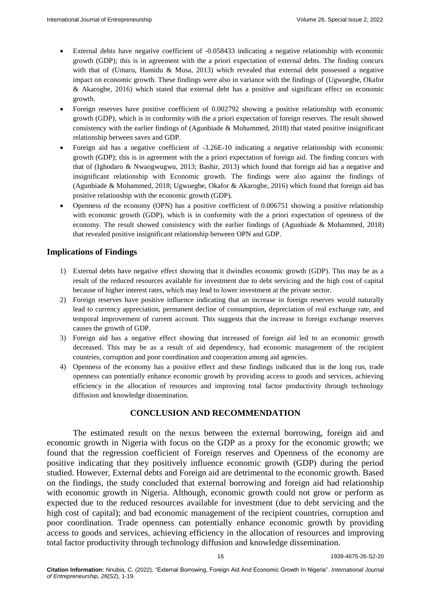- External debts have negative coefficient of -0.058433 indicating a negative relationship with economic growth (GDP); this is in agreement with the a priori expectation of external debts. The finding concurs with that of (Umaru, Hamidu & Musa, 2013) which revealed that external debt possessed a negative impact on economic growth. These findings were also in variance with the findings of (Ugwuegbe, Okafor & Akarogbe, 2016) which stated that external debt has a positive and significant effect on economic growth.
- Foreign reserves have positive coefficient of 0.002792 showing a positive relationship with economic growth (GDP), which is in conformity with the a priori expectation of foreign reserves. The result showed consistency with the earlier findings of (Agunbiade & Mohammed, 2018) that stated positive insignificant relationship between saves and GDP.
- Foreign aid has a negative coefficient of -3.26E-10 indicating a negative relationship with economic growth (GDP); this is in agreement with the a priori expectation of foreign aid. The finding concurs with that of (Ighodaro & Nwaogwugwu, 2013; Bashir, 2013) which found that foreign aid has a negative and insignificant relationship with Economic growth. The findings were also against the findings of (Agunbiade & Mohammed, 2018; Ugwuegbe, Okafor & Akarogbe, 2016) which found that foreign aid has positive relationship with the economic growth (GDP).
- Openness of the economy (OPN) has a positive coefficient of 0.006751 showing a positive relationship with economic growth (GDP), which is in conformity with the a priori expectation of openness of the economy. The result showed consistency with the earlier findings of (Agunbiade & Mohammed, 2018) that revealed positive insignificant relationship between OPN and GDP.

## **Implications of Findings**

- 1) External debts have negative effect showing that it dwindles economic growth (GDP). This may be as a result of the reduced resources available for investment due to debt servicing and the high cost of capital because of higher interest rates, which may lead to lower investment at the private sector.
- 2) Foreign reserves have positive influence indicating that an increase in foreign reserves would naturally lead to currency appreciation, permanent decline of consumption, depreciation of real exchange rate, and temporal improvement of current account. This suggests that the increase in foreign exchange reserves causes the growth of GDP.
- 3) Foreign aid has a negative effect showing that increased of foreign aid led to an economic growth decreased. This may be as a result of aid dependency, bad economic management of the recipient countries, corruption and poor coordination and cooperation among aid agencies.
- 4) Openness of the economy has a positive effect and these findings indicated that in the long run, trade openness can potentially enhance economic growth by providing access to goods and services, achieving efficiency in the allocation of resources and improving total factor productivity through technology diffusion and knowledge dissemination.

# **CONCLUSION AND RECOMMENDATION**

The estimated result on the nexus between the external borrowing, foreign aid and economic growth in Nigeria with focus on the GDP as a proxy for the economic growth; we found that the regression coefficient of Foreign reserves and Openness of the economy are positive indicating that they positively influence economic growth (GDP) during the period studied. However, External debts and Foreign aid are detrimental to the economic growth. Based on the findings, the study concluded that external borrowing and foreign aid had relationship with economic growth in Nigeria. Although, economic growth could not grow or perform as expected due to the reduced resources available for investment (due to debt servicing and the high cost of capital); and bad economic management of the recipient countries, corruption and poor coordination. Trade openness can potentially enhance economic growth by providing access to goods and services, achieving efficiency in the allocation of resources and improving total factor productivity through technology diffusion and knowledge dissemination.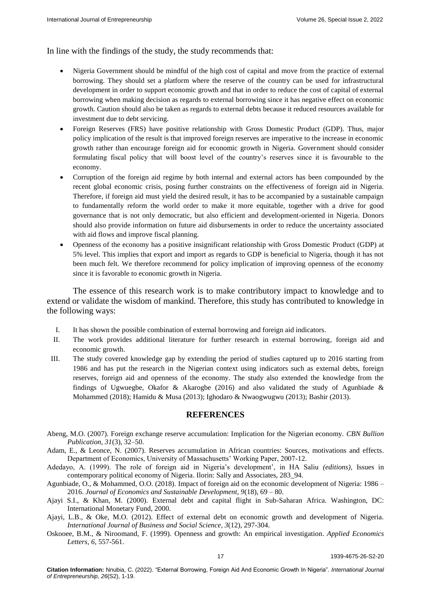In line with the findings of the study, the study recommends that:

- Nigeria Government should be mindful of the high cost of capital and move from the practice of external borrowing. They should set a platform where the reserve of the country can be used for infrastructural development in order to support economic growth and that in order to reduce the cost of capital of external borrowing when making decision as regards to external borrowing since it has negative effect on economic growth. Caution should also be taken as regards to external debts because it reduced resources available for investment due to debt servicing.
- Foreign Reserves (FRS) have positive relationship with Gross Domestic Product (GDP). Thus, major policy implication of the result is that improved foreign reserves are imperative to the increase in economic growth rather than encourage foreign aid for economic growth in Nigeria. Government should consider formulating fiscal policy that will boost level of the country's reserves since it is favourable to the economy.
- Corruption of the foreign aid regime by both internal and external actors has been compounded by the recent global economic crisis, posing further constraints on the effectiveness of foreign aid in Nigeria. Therefore, if foreign aid must yield the desired result, it has to be accompanied by a sustainable campaign to fundamentally reform the world order to make it more equitable, together with a drive for good governance that is not only democratic, but also efficient and development-oriented in Nigeria. Donors should also provide information on future aid disbursements in order to reduce the uncertainty associated with aid flows and improve fiscal planning.
- Openness of the economy has a positive insignificant relationship with Gross Domestic Product (GDP) at 5% level. This implies that export and import as regards to GDP is beneficial to Nigeria, though it has not been much felt. We therefore recommend for policy implication of improving openness of the economy since it is favorable to economic growth in Nigeria.

The essence of this research work is to make contributory impact to knowledge and to extend or validate the wisdom of mankind. Therefore, this study has contributed to knowledge in the following ways:

- I. It has shown the possible combination of external borrowing and foreign aid indicators.
- II. The work provides additional literature for further research in external borrowing, foreign aid and economic growth.
- III. The study covered knowledge gap by extending the period of studies captured up to 2016 starting from 1986 and has put the research in the Nigerian context using indicators such as external debts, foreign reserves, foreign aid and openness of the economy. The study also extended the knowledge from the findings of Ugwuegbe, Okafor & Akarogbe (2016) and also validated the study of Agunbiade & Mohammed (2018); Hamidu & Musa (2013); Ighodaro & Nwaogwugwu (2013); Bashir (2013).

#### **REFERENCES**

- Abeng, M.O. (2007). Foreign exchange reserve accumulation: Implication for the Nigerian economy. *CBN Bullion Publication, 31*(3), 32–50.
- Adam, E., & Leonce, N. (2007). [Reserves accumulation in African countries: Sources, motivations and effects.](https://www.econstor.eu/handle/10419/64187) Department of Economics, University of Massachusetts' Working Paper, 2007-12.
- Adedayo, A. (1999). The role of foreign aid in Nigeria's development', in HA Saliu *(editions)*, Issues in contemporary political economy of Nigeria. Ilorin: Sally and Associates, 283\_94.
- Agunbiade, O., & Mohammed, O.O. (2018). [Impact of foreign aid on the economic development of Nigeria: 1986 –](https://www.researchgate.net/publication/334884463_Impact_of_Foreign_Aid_on_the_Economic_Development_of_Nigeria_1986_-2016) [2016.](https://www.researchgate.net/publication/334884463_Impact_of_Foreign_Aid_on_the_Economic_Development_of_Nigeria_1986_-2016) *Journal of Economics and Sustainable Development, 9*(18), 69 – 80.
- Ajayi S.I., & Khan, M. (2000). [External debt and capital flight in Sub-Saharan Africa.](https://www.elibrary.imf.org/view/books/071/02256-9781557757913-en/02256-9781557757913-en-book.xml) Washington, DC: International Monetary Fund, 2000.
- Ajayi, L.B., & Oke, M.O. (2012). [Effect of external debt on economic growth and development of Nigeria](https://www.researchgate.net/profile/Torki-Alfawwaz/publication/286779659_alastthmar_alajnby_almbashr_walnmw_alaqtsady_fy_alardnbyanat_nsf_snwyt_llftrt_2000-2013/links/5a5e7383a6fdcc68fa992959/alastthmar-alajnby-almbashr-walnmw-alaqtsady-fy-alardnbyanat-nsf-snwyt-llftrt-2000-2013.pdf)*. International Journal of Business and Social Science, 3*(12), 297-304.
- Oskooee, B.M., & Niroomand, F. (1999). [Openness and growth: An empirical investigation.](https://ideas.repec.org/p/hdr/hdocpa/hdocpa-2005-22.html) *Applied Economics Letters, 6*, 557-561.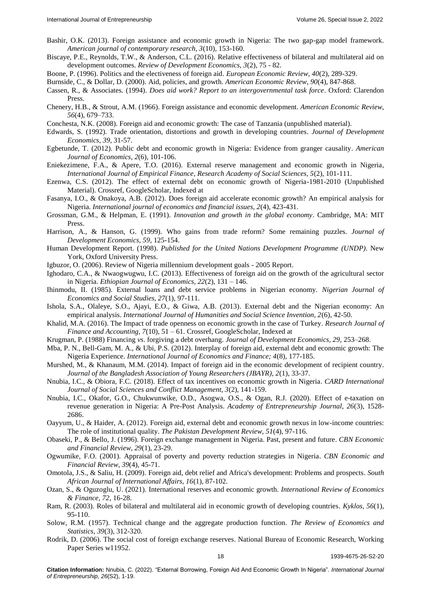- Bashir, O.K. (2013). [Foreign assistance and economic growth in Nigeria: The two gap-gap model framework.](https://www.researchgate.net/profile/Bashir-Kolawole/publication/299388961_Foreign_Assistance_and_Economic_Growth_in_Nigeria_The_Two-Gap_Model_Framework/links/56f30e5e08ae81582beba92c/Foreign-Assistance-and-Economic-Growth-in-Nigeria-The-Two-Gap-Model-Framework.pdf) *American journal of contemporary research, 3*(10), 153-160.
- Biscaye, P.E., Reynolds, T.W., & Anderson, C.L. (2016). [Relative effectiveness of bilateral and multilateral aid on](https://onlinelibrary.wiley.com/doi/10.1111/rode.12303)  [development outcomes.](https://onlinelibrary.wiley.com/doi/10.1111/rode.12303) *Review of Development Economics, 3*(2), 75 - 82.
- Boone, P. (1996). [Politics and the electiveness of foreign aid.](https://www.sciencedirect.com/science/article/abs/pii/0014292195001271#:~:text=The%20impact%20of%20aid%20does,than%20the%20least%20free%20regimes.) *European Economic Review, 40*(2), 289-329.
- Burnside, C., & Dollar, D. (2000). [Aid, policies, and growth.](https://www.aeaweb.org/articles?id=10.1257/aer.90.4.847) *American Economic Review, 90*(4), 847-868.
- Cassen, R., & Associates. (1994). *[Does aid work? Report to an intergovernmental task force](https://www.jstor.org/stable/1973036?origin=crossref)*. Oxford: Clarendon Press.
- Chenery, H.B., & Strout, A.M. (1966). [Foreign assistance and economic development.](https://link.springer.com/chapter/10.1007/978-1-349-15238-4_9) *American Economic Review, 56*(4), 679–733.
- Conchesta, N.K. (2008). Foreign aid and economic growth: The case of Tanzania (unpublished material).
- Edwards, S. (1992). [Trade orientation, distortions and growth in developing countries.](https://linkinghub.elsevier.com/retrieve/pii/030438789290056F) *Journal of Development Economics, 39*, 31-57.
- Egbetunde, T. (2012). [Public debt and economic growth in Nigeria: Evidence from granger causality.](http://article.sapub.org/10.5923.j.economics.20120206.02.html) *American Journal of Economics, 2*(6), 101-106.
- Eniekezimene, F.A., & Apere, T.O. (2016). [External reserve management and economic growth in Nigeria,](https://ideas.repec.org/a/rss/jnljef/v5i2p4.html) *International Journal of Empirical Finance*, *Research Academy of Social Sciences, 5*(2), 101-111.
- Ezenwa, C.S. (2012). The effect of external debt on economic growth of Nigeria-1981-2010 (Unpublished Material). Crossref, GoogleScholar, Indexed at
- Fasanya, I.O., & Onakoya, A.B. (2012). [Does foreign aid accelerate economic growth? An empirical analysis for](https://dergipark.org.tr/en/download/article-file/362710)  [Nigeria.](https://dergipark.org.tr/en/download/article-file/362710) *International journal of economics and financial issues, 2*(4), 423-431.
- Grossman, G.M., & Helpman, E. (1991). *[Innovation and growth in the global economy](https://www.jstor.org/stable/2554862?origin=crossref)*. Cambridge, MA: MIT Press.
- Harrison, A., & Hanson, G. (1999). [Who gains from trade reform? Some remaining puzzles.](https://www.sciencedirect.com/science/article/abs/pii/S0304387899000085) *Journal of Development Economics, 59*, 125-154.
- Human Development Report. (1998). *[Published for the United Nations Development Programme](https://www.taylorfrancis.com/books/mono/10.4324/9780203806852/united-nations-development-programme-system-undp-stephen-browne) (UNDP)*. New York, Oxford University Press.
- Igbuzor, O. (2006). [Review of Nigeria millennium development goals -](http://www.dawodu.com/igbuzor11.htm) 2005 Report.
- Ighodaro, C.A., & Nwaogwugwu, I.C. (2013). [Effectiveness of foreign aid on the growth of the agricultural sector](https://www.ajol.info/index.php/eje/article/view/121882)  [in Nigeria.](https://www.ajol.info/index.php/eje/article/view/121882) *Ethiopian Journal of Economics, 22*(2), 131 – 146.
- Ihinmodu, II. (1985). External loans and debt service problems in Nigerian economy. *Nigerian Journal of Economics and Social Studies, 27*(1), 97-111.
- Ishola, S.A., Olaleye, S.O., Ajayi, E.O., & Giwa, A.B. (2013). [External debt and the Nigerian economy: An](http://www.ijhssi.org/papers/v2(6)/Version-1/H0261042050.pdf)  [empirical analysis.](http://www.ijhssi.org/papers/v2(6)/Version-1/H0261042050.pdf) *International Journal of Humanities and Social Science Invention, 2*(6), 42-50.
- Khalid, M.A. (2016)[. The Impact of trade openness on economic growth in the case of Turkey.](https://core.ac.uk/download/pdf/234631418.pdf) *Research Journal of Finance and Accounting, 7*(10), 51 – 61. Crossref, [GoogleScholar,](https://scholar.google.com/scholar?hl=en&as_sdt=0%2C5&q=The+Impact+of+trade+openness+on+economic+growth+in+the+case+of+Turkey&btnG=) [Indexed at](https://www.semanticscholar.org/paper/The-Impact-of-Trade-Openness-on-Economic-Growth-in-Khalid/703568283c491571cd0e3f13dd466cb03993ce0e)
- Krugman, P. (1988) Financing *vs*[. forgiving a debt overhang.](https://linkinghub.elsevier.com/retrieve/pii/0304387888900442) *Journal of Development Economics, 29,* 253–268.
- Mba, P. N., Bell-Gam, M. A., & Ubi, P.S. (2012). [Interplay of foreign aid, external debt and economic growth: The](https://www.ccsenet.org/journal/index.php/ijef/article/view/18871)  [Nigeria Experience.](https://www.ccsenet.org/journal/index.php/ijef/article/view/18871) *International Journal of Economics and Finance; 4*(8), 177-185.
- Murshed, M., & Khanaum, M.M. (2014). [Impact of foreign aid in the economic development of recipient country.](https://www.banglajol.info/index.php/JBAYR/article/view/20539) *Journal of the Bangladesh Association of Young Researchers (JBAYR), 2*(1), 33-37.
- Nnubia, I.C., & Obiora, F.C. (2018). [Effect of tax incentives on economic growth in Nigeria.](https://casirmediapublishing.com/wp-content/uploads/2019/09/Pages-142-160-_2018-3154_.pdf) *CARD International Journal of Social Sciences and Conflict Management, 3*(2), 141-159.
- Nnubia, I.C., Okafor, G.O., Chukwunwike, O.D., Asogwa, O.S., & Ogan, R.J. (2020). [Effect of e-taxation on](https://www.researchgate.net/profile/Innocent-Nnubia/publication/349609075_EFFECT_OF_E-TAXATION_ON_REVENUE_GENERATION_IN_NIGERIA_A_PRE-POST_ANALYSIS/links/6038382c4585158939cdb032/EFFECT-OF-E-TAXATION-ON-REVENUE-GENERATION-IN-NIGERIA-A-PRE-POST-ANALYSIS.pdf)  [revenue generation in Nigeria: A Pre-Post Analysis.](https://www.researchgate.net/profile/Innocent-Nnubia/publication/349609075_EFFECT_OF_E-TAXATION_ON_REVENUE_GENERATION_IN_NIGERIA_A_PRE-POST_ANALYSIS/links/6038382c4585158939cdb032/EFFECT-OF-E-TAXATION-ON-REVENUE-GENERATION-IN-NIGERIA-A-PRE-POST-ANALYSIS.pdf) *Academy of Entrepreneurship Journal, 26*(3), 1528- 2686.
- Oayyum, U., & Haider, A. (2012). [Foreign aid, external debt and economic growth nexus in low-income countries:](https://www.jstor.org/stable/23734741)  [The role of institutional quality.](https://www.jstor.org/stable/23734741) *The Pakistan Development Review, 51*(4), 97-116.
- Obaseki, P., & Bello, J. (1996). [Foreign exchange management in Nigeria. Past, present and future.](https://dc.cbn.gov.ng/efr/vol29/iss1/4/) *CBN Economic and Financial Review, 29*(1), 23-29.
- Ogwumike, F.O. (2001). [Appraisal of poverty and poverty reduction strategies in Nigeria.](https://dc.cbn.gov.ng/efr/vol39/iss4/4/) *CBN Economic and Financial Review, 39*(4), 45-71.
- Omotola, J.S., & Saliu, H. (2009). [Foreign aid, debt relief and Africa's development: Problems and prospects.](https://www.tandfonline.com/doi/full/10.1080/10220460902986180) *South African Journal of International Affairs, 16*(1), 87-102.
- Ozan, S., & Oguzoglu, U. (2021). [International reserves and economic growth.](https://linkinghub.elsevier.com/retrieve/pii/S1059056020302501) *International Review of Economics & Finance, 72*, 16-28.
- Ram, R. (2003). [Roles of bilateral and multilateral aid in economic growth of developing countries.](https://onlinelibrary.wiley.com/doi/10.1111/1467-6435.00211) *Kyklos, 56*(1), 95-110.
- Solow, R.M. (1957). [Technical change and the aggregate production function.](https://www.jstor.org/stable/1926047?origin=crossref) *The Review of Economics and Statistics, 39*(3), 312-320.
- Rodrik, D. (2006). [The social cost of foreign exchange reserves.](https://www.tandfonline.com/doi/abs/10.1080/10168730600879331) National Bureau of Economic Research, Working Paper Series w11952.